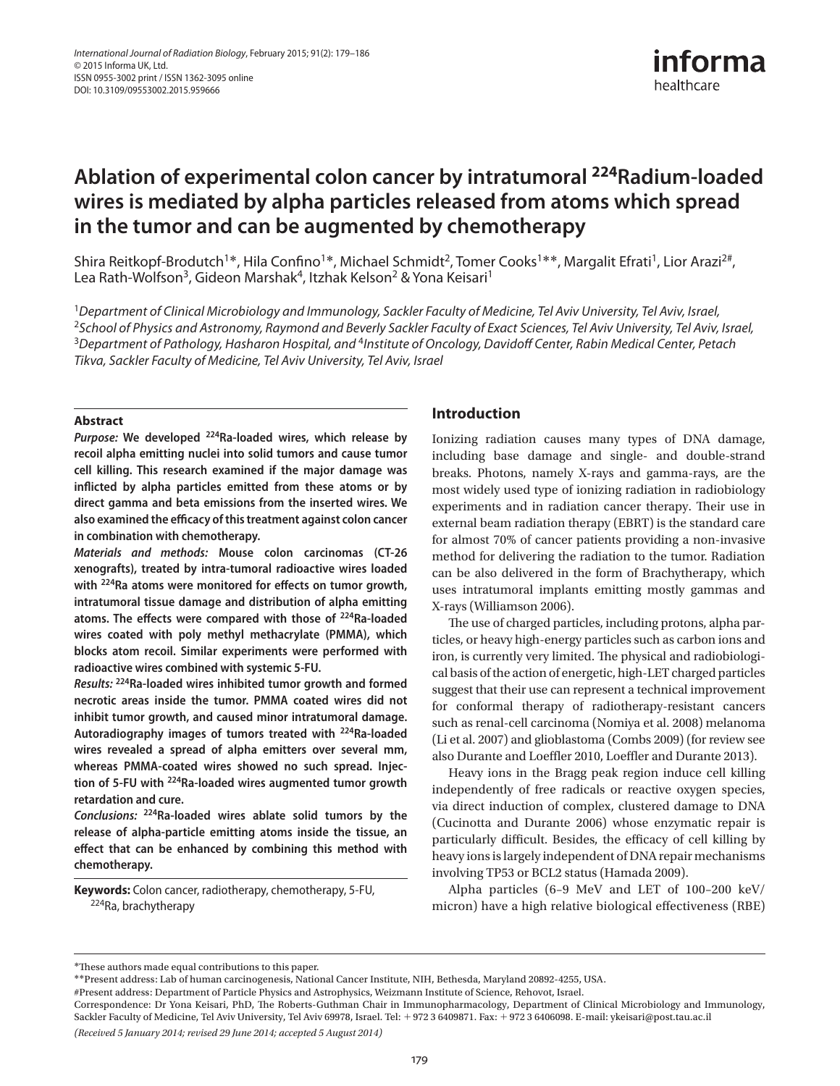

# **Ablation of experimental colon cancer by intratumoral <sup>224</sup> Radium-loaded wires is mediated by alpha particles released from atoms which spread in the tumor and can be augmented by chemotherapy**

Shira Reitkopf-Brodutch<sup>1\*</sup>, Hila Confino<sup>1\*</sup>, Michael Schmidt<sup>2</sup>, Tomer Cooks<sup>1\*\*</sup>, Margalit Efrati<sup>1</sup>, Lior Arazi<sup>2#</sup>, Lea Rath-Wolfson<sup>3</sup>, Gideon Marshak<sup>4</sup>, Itzhak Kelson<sup>2</sup> & Yona Keisari<sup>1</sup>

<sup>1</sup> Department of Clinical Microbiology and Immunology, Sackler Faculty of Medicine, Tel Aviv University, Tel Aviv, Israel, <sup>2</sup>School of Physics and Astronomy, Raymond and Beverly Sackler Faculty of Exact Sciences, Tel Aviv University, Tel Aviv, Israel, <sup>3</sup> Department of Pathology, Hasharon Hospital, and <sup>4</sup>Institute of Oncology, Davidoff Center, Rabin Medical Center, Petach Tikva, Sackler Faculty of Medicine, Tel Aviv University, Tel Aviv, Israel

#### **Abstract**

**Purpose: We developed 224 Ra-loaded wires, which release by recoil alpha emitting nuclei into solid tumors and cause tumor cell killing. This research examined if the major damage was infl icted by alpha particles emitted from these atoms or by direct gamma and beta emissions from the inserted wires. We also examined the effi cacy of this treatment against colon cancer in combination with chemotherapy.** 

*Materials and methods:* **Mouse colon carcinomas (CT-26 xenografts), treated by intra-tumoral radioactive wires loaded**  with <sup>224</sup>Ra atoms were monitored for effects on tumor growth, **intratumoral tissue damage and distribution of alpha emitting**  atoms. The effects were compared with those of <sup>224</sup>Ra-loaded **wires coated with poly methyl methacrylate (PMMA), which blocks atom recoil. Similar experiments were performed with radioactive wires combined with systemic 5-FU.** 

 **Results: <sup>224</sup>Ra-loaded wires inhibited tumor growth and formed necrotic areas inside the tumor. PMMA coated wires did not inhibit tumor growth, and caused minor intratumoral damage. Autoradiography images of tumors treated with 224 Ra-loaded wires revealed a spread of alpha emitters over several mm, whereas PMMA-coated wires showed no such spread. Injection of 5-FU with 224 Ra-loaded wires augmented tumor growth retardation and cure.** 

Conclusions: <sup>224</sup>Ra-loaded wires ablate solid tumors by the **release of alpha-particle emitting atoms inside the tissue, an**  effect that can be enhanced by combining this method with **chemotherapy.** 

Keywords: Colon cancer, radiotherapy, chemotherapy, 5-FU, <sup>224</sup> Ra, brachytherapy

## **Introduction**

 Ionizing radiation causes many types of DNA damage, including base damage and single- and double-strand breaks. Photons, namely X-rays and gamma-rays, are the most widely used type of ionizing radiation in radiobiology experiments and in radiation cancer therapy. Their use in external beam radiation therapy (EBRT) is the standard care for almost 70% of cancer patients providing a non-invasive method for delivering the radiation to the tumor. Radiation can be also delivered in the form of Brachytherapy, which uses intratumoral implants emitting mostly gammas and X-rays (Williamson 2006).

The use of charged particles, including protons, alpha particles, or heavy high-energy particles such as carbon ions and iron, is currently very limited. The physical and radiobiological basis of the action of energetic, high-LET charged particles suggest that their use can represent a technical improvement for conformal therapy of radiotherapy-resistant cancers such as renal-cell carcinoma (Nomiya et al. 2008) melanoma (Li et al. 2007) and glioblastoma (Combs 2009) (for review see also Durante and Loeffler 2010, Loeffler and Durante 2013).

 Heavy ions in the Bragg peak region induce cell killing independently of free radicals or reactive oxygen species, via direct induction of complex, clustered damage to DNA (Cucinotta and Durante 2006) whose enzymatic repair is particularly difficult. Besides, the efficacy of cell killing by heavy ions is largely independent of DNA repair mechanisms involving TP53 or BCL2 status (Hamada 2009).

Alpha particles (6-9 MeV and LET of  $100-200$  keV/ micron) have a high relative biological effectiveness (RBE)

 *(Received 5 January 2014 ; revised 29 June 2014 ; accepted 5 August 2014 )* 

<sup>\*</sup> Th ese authors made equal contributions to this paper. \*\* Present address: Lab of human carcinogenesis, National Cancer Institute, NIH, Bethesda, Maryland 20892-4255, USA.

<sup>#</sup>Present address: Department of Particle Physics and Astrophysics, Weizmann Institute of Science, Rehovot, Israel.

Correspondence: Dr Yona Keisari, PhD, The Roberts-Guthman Chair in Immunopharmacology, Department of Clinical Microbiology and Immunology, Sackler Faculty of Medicine, Tel Aviv University, Tel Aviv 69978, Israel. Tel: +972 3 6409871. Fax: +972 3 6406098. E-mail: ykeisari@post.tau.ac.il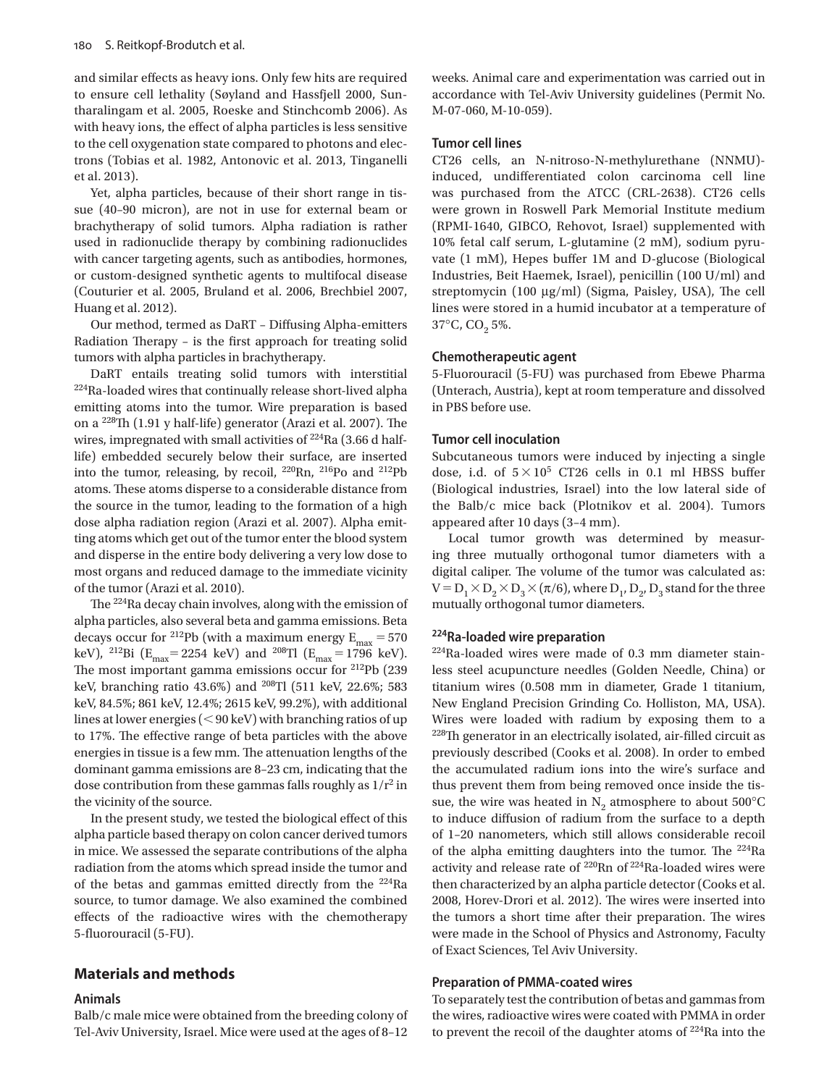and similar effects as heavy ions. Only few hits are required to ensure cell lethality (Søyland and Hassfjell 2000, Suntharalingam et al. 2005, Roeske and Stinchcomb 2006). As with heavy ions, the effect of alpha particles is less sensitive to the cell oxygenation state compared to photons and electrons (Tobias et al. 1982, Antonovic et al. 2013, Tinganelli et al. 2013).

 Yet, alpha particles, because of their short range in tissue (40-90 micron), are not in use for external beam or brachytherapy of solid tumors. Alpha radiation is rather used in radionuclide therapy by combining radionuclides with cancer targeting agents, such as antibodies, hormones, or custom-designed synthetic agents to multifocal disease (Couturier et al. 2005, Bruland et al. 2006, Brechbiel 2007, Huang et al. 2012).

Our method, termed as DaRT - Diffusing Alpha-emitters Radiation Therapy - is the first approach for treating solid tumors with alpha particles in brachytherapy.

DaRT entails treating solid tumors with interstitial <sup>224</sup>Ra-loaded wires that continually release short-lived alpha emitting atoms into the tumor. Wire preparation is based on a  $^{228}$ Th (1.91 y half-life) generator (Arazi et al. 2007). The wires, impregnated with small activities of  $^{224}$ Ra (3.66 d halflife) embedded securely below their surface, are inserted into the tumor, releasing, by recoil,  $^{220}$ Rn,  $^{216}$ Po and  $^{212}$ Pb atoms. These atoms disperse to a considerable distance from the source in the tumor, leading to the formation of a high dose alpha radiation region (Arazi et al. 2007). Alpha emitting atoms which get out of the tumor enter the blood system and disperse in the entire body delivering a very low dose to most organs and reduced damage to the immediate vicinity of the tumor (Arazi et al. 2010).

The  $224$ Ra decay chain involves, along with the emission of alpha particles, also several beta and gamma emissions. Beta decays occur for <sup>212</sup>Pb (with a maximum energy  $E_{\text{max}} = 570$ keV), <sup>212</sup>Bi (E<sub>max</sub> = 2254 keV) and <sup>208</sup>Tl (E<sub>max</sub> = 1796 keV). The most important gamma emissions occur for  $212Pb$  (239 keV, branching ratio 43.6%) and <sup>208</sup>Tl (511 keV, 22.6%; 583 keV, 84.5%; 861 keV, 12.4%; 2615 keV, 99.2%), with additional lines at lower energies  $( $90 \,\text{keV}$ )$  with branching ratios of up to 17%. The effective range of beta particles with the above energies in tissue is a few mm. The attenuation lengths of the dominant gamma emissions are 8-23 cm, indicating that the dose contribution from these gammas falls roughly as  $1/r^2$  in the vicinity of the source.

In the present study, we tested the biological effect of this alpha particle based therapy on colon cancer derived tumors in mice. We assessed the separate contributions of the alpha radiation from the atoms which spread inside the tumor and of the betas and gammas emitted directly from the <sup>224</sup>Ra source, to tumor damage. We also examined the combined effects of the radioactive wires with the chemotherapy 5-fluorouracil (5-FU).

## **Materials and methods**

#### **Animals**

 Balb/c male mice were obtained from the breeding colony of Tel-Aviv University, Israel. Mice were used at the ages of 8-12 weeks. Animal care and experimentation was carried out in accordance with Tel-Aviv University guidelines (Permit No. M-07-060, M-10-059).

#### **Tumor cell lines**

 CT26 cells, an N-nitroso-N-methylurethane (NNMU) induced, undifferentiated colon carcinoma cell line was purchased from the ATCC (CRL-2638). CT26 cells were grown in Roswell Park Memorial Institute medium (RPMI-1640, GIBCO, Rehovot, Israel) supplemented with 10% fetal calf serum, L-glutamine (2 mM), sodium pyruvate  $(1 \text{ mM})$ , Hepes buffer  $1M$  and D-glucose (Biological Industries, Beit Haemek, Israel), penicillin (100 U/ml) and streptomycin (100 μg/ml) (Sigma, Paisley, USA), The cell lines were stored in a humid incubator at a temperature of  $37^{\circ}$ C, CO<sub>2</sub> 5%.

#### **Chemotherapeutic agent**

 5-Fluorouracil (5-FU) was purchased from Ebewe Pharma (Unterach, Austria), kept at room temperature and dissolved in PBS before use.

## **Tumor cell inoculation**

 Subcutaneous tumors were induced by injecting a single dose, i.d. of  $5 \times 10^5$  CT26 cells in 0.1 ml HBSS buffer (Biological industries, Israel) into the low lateral side of the Balb/c mice back (Plotnikov et al. 2004). Tumors appeared after 10 days (3-4 mm).

 Local tumor growth was determined by measuring three mutually orthogonal tumor diameters with a digital caliper. The volume of the tumor was calculated as:  $V = D_1 \times D_2 \times D_3 \times (\pi/6)$ , where  $D_1$ ,  $D_2$ ,  $D_3$  stand for the three mutually orthogonal tumor diameters.

## **224 Ra-loaded wire preparation**

 $224$ Ra-loaded wires were made of 0.3 mm diameter stainless steel acupuncture needles (Golden Needle, China) or titanium wires (0.508 mm in diameter, Grade 1 titanium, New England Precision Grinding Co. Holliston, MA, USA). Wires were loaded with radium by exposing them to a  $228$ Th generator in an electrically isolated, air-filled circuit as previously described (Cooks et al. 2008). In order to embed the accumulated radium ions into the wire's surface and thus prevent them from being removed once inside the tissue, the wire was heated in  $N_2$  atmosphere to about 500 $^{\circ}$ C to induce diffusion of radium from the surface to a depth of 1-20 nanometers, which still allows considerable recoil of the alpha emitting daughters into the tumor. The  $224$ Ra activity and release rate of <sup>220</sup>Rn of <sup>224</sup>Ra-loaded wires were then characterized by an alpha particle detector (Cooks et al. 2008, Horev-Drori et al. 2012). The wires were inserted into the tumors a short time after their preparation. The wires were made in the School of Physics and Astronomy, Faculty of Exact Sciences, Tel Aviv University.

#### **Preparation of PMMA-coated wires**

 To separately test the contribution of betas and gammas from the wires, radioactive wires were coated with PMMA in order to prevent the recoil of the daughter atoms of 224 Ra into the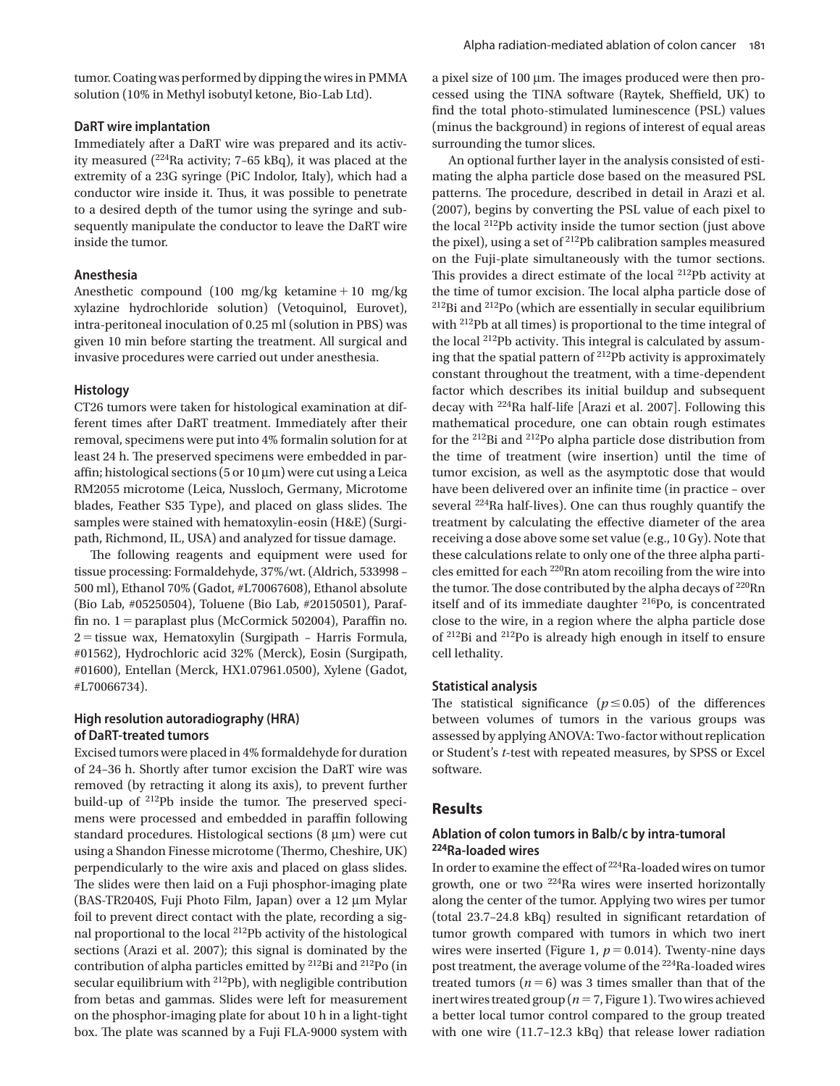tumor. Coating was performed by dipping the wires in PMMA solution (10% in Methyl isobutyl ketone, Bio-Lab Ltd).

## **DaRT wire implantation**

 Immediately after a DaRT wire was prepared and its activity measured  $(^{224}$ Ra activity; 7-65 kBq), it was placed at the extremity of a 23G syringe (PiC Indolor, Italy), which had a conductor wire inside it. Thus, it was possible to penetrate to a desired depth of the tumor using the syringe and subsequently manipulate the conductor to leave the DaRT wire inside the tumor.

## **Anesthesia**

Anesthetic compound (100 mg/kg ketamine + 10 mg/kg xylazine hydrochloride solution) (Vetoquinol, Eurovet), intra-peritoneal inoculation of 0.25 ml (solution in PBS) was given 10 min before starting the treatment. All surgical and invasive procedures were carried out under anesthesia.

#### **Histology**

 CT26 tumors were taken for histological examination at different times after DaRT treatment. Immediately after their removal, specimens were put into 4% formalin solution for at least 24 h. The preserved specimens were embedded in paraffin; histological sections (5 or  $10 \mu m$ ) were cut using a Leica RM2055 microtome (Leica, Nussloch, Germany, Microtome blades, Feather S35 Type), and placed on glass slides. The samples were stained with hematoxylin-eosin (H&E) (Surgipath, Richmond, IL, USA) and analyzed for tissue damage.

The following reagents and equipment were used for tissue processing: Formaldehyde, 37%/wt. (Aldrich, 533998 – 500 ml), Ethanol 70% (Gadot, #L70067608), Ethanol absolute (Bio Lab, #05250504), Toluene (Bio Lab, #20150501), Paraffin no. 1 = paraplast plus (McCormick 502004), Paraffin no.  $2 =$  tissue wax, Hematoxylin (Surgipath – Harris Formula, #01562), Hydrochloric acid 32% (Merck), Eosin (Surgipath, #01600), Entellan (Merck, HX1.07961.0500), Xylene (Gadot, #L70066734).

## **High resolution autoradiography (HRA) of DaRT-treated tumors**

 Excised tumors were placed in 4% formaldehyde for duration of 24 – 36 h. Shortly after tumor excision the DaRT wire was removed (by retracting it along its axis), to prevent further build-up of  $^{212}Pb$  inside the tumor. The preserved specimens were processed and embedded in paraffin following standard procedures. Histological sections  $(8 \mu m)$  were cut using a Shandon Finesse microtome (Thermo, Cheshire, UK) perpendicularly to the wire axis and placed on glass slides. The slides were then laid on a Fuji phosphor-imaging plate (BAS-TR2040S, Fuji Photo Film, Japan) over a  $12 \mu m$  Mylar foil to prevent direct contact with the plate, recording a signal proportional to the local 212 Pb activity of the histological sections (Arazi et al. 2007); this signal is dominated by the contribution of alpha particles emitted by  $2^{12}$ Bi and  $2^{12}$ Po (in secular equilibrium with <sup>212</sup>Pb), with negligible contribution from betas and gammas. Slides were left for measurement on the phosphor-imaging plate for about 10 h in a light-tight box. The plate was scanned by a Fuji FLA-9000 system with a pixel size of 100  $\mu$ m. The images produced were then processed using the TINA software (Raytek, Sheffield, UK) to find the total photo-stimulated luminescence (PSL) values (minus the background) in regions of interest of equal areas surrounding the tumor slices.

 An optional further layer in the analysis consisted of estimating the alpha particle dose based on the measured PSL patterns. The procedure, described in detail in Arazi et al. (2007), begins by converting the PSL value of each pixel to the local <sup>212</sup>Pb activity inside the tumor section (just above the pixel), using a set of  $2^{12}Pb$  calibration samples measured on the Fuji-plate simultaneously with the tumor sections. This provides a direct estimate of the local  $^{212}Pb$  activity at the time of tumor excision. The local alpha particle dose of <sup>212</sup>Bi and <sup>212</sup>Po (which are essentially in secular equilibrium with 212 Pb at all times) is proportional to the time integral of the local  $^{212}Pb$  activity. This integral is calculated by assuming that the spatial pattern of  $^{212}Pb$  activity is approximately constant throughout the treatment, with a time-dependent factor which describes its initial buildup and subsequent decay with <sup>224</sup>Ra half-life [Arazi et al. 2007]. Following this mathematical procedure, one can obtain rough estimates for the 212 Bi and 212 Po alpha particle dose distribution from the time of treatment (wire insertion) until the time of tumor excision, as well as the asymptotic dose that would have been delivered over an infinite time (in practice - over several <sup>224</sup>Ra half-lives). One can thus roughly quantify the treatment by calculating the effective diameter of the area receiving a dose above some set value (e.g., 10 Gy). Note that these calculations relate to only one of the three alpha particles emitted for each 220 Rn atom recoiling from the wire into the tumor. The dose contributed by the alpha decays of <sup>220</sup>Rn itself and of its immediate daughter <sup>216</sup>Po, is concentrated close to the wire, in a region where the alpha particle dose of 212 Bi and 212 Po is already high enough in itself to ensure cell lethality.

#### **Statistical analysis**

The statistical significance  $(p \le 0.05)$  of the differences between volumes of tumors in the various groups was assessed by applying ANOVA: Two-factor without replication or Student's *t*-test with repeated measures, by SPSS or Excel software.

#### **Results**

## **Ablation of colon tumors in Balb/c by intra-tumoral 224 Ra-loaded wires**

In order to examine the effect of <sup>224</sup>Ra-loaded wires on tumor growth, one or two 224 Ra wires were inserted horizontally along the center of the tumor. Applying two wires per tumor (total  $23.7-24.8$  kBq) resulted in significant retardation of tumor growth compared with tumors in which two inert wires were inserted (Figure 1,  $p = 0.014$ ). Twenty-nine days post treatment, the average volume of the 224 Ra-loaded wires treated tumors  $(n = 6)$  was 3 times smaller than that of the inert wires treated group ( $n = 7$ , Figure 1). Two wires achieved a better local tumor control compared to the group treated with one wire (11.7-12.3 kBq) that release lower radiation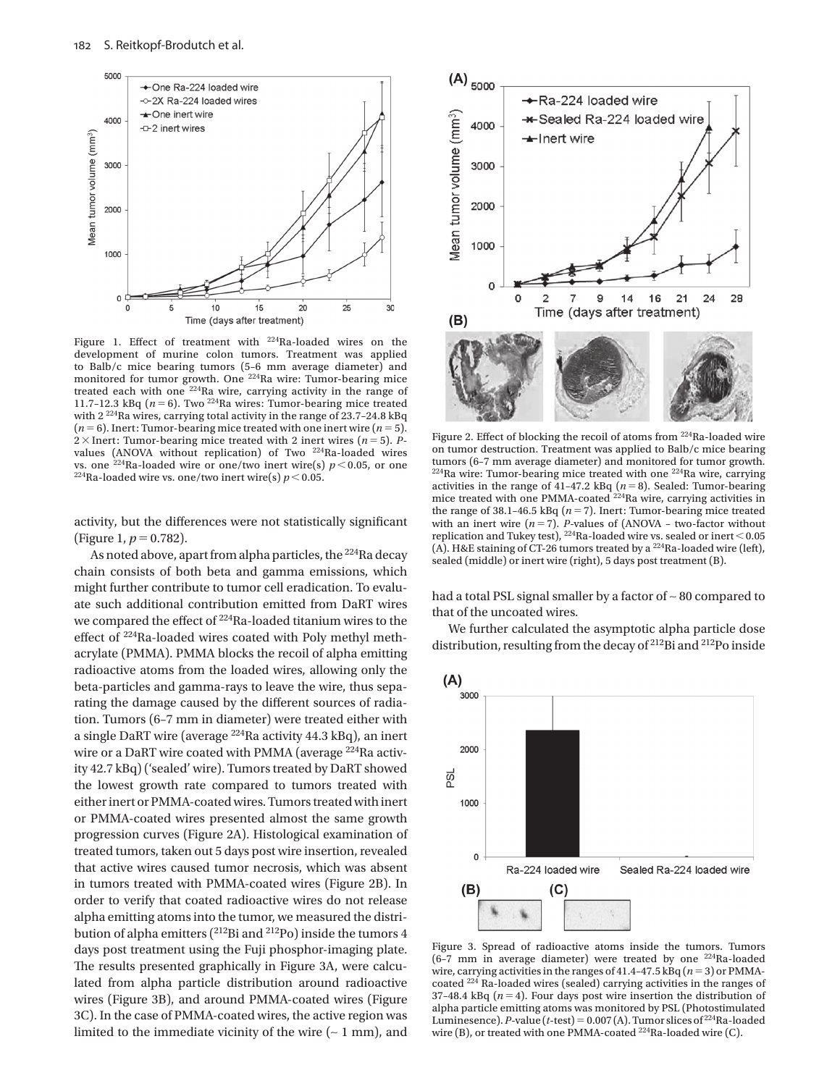

Figure 1. Effect of treatment with  $224$ Ra-loaded wires on the development of murine colon tumors. Treatment was applied to Balb/c mice bearing tumors (5-6 mm average diameter) and monitored for tumor growth. One <sup>224</sup> Ra wire: Tumor-bearing mice treated each with one  $224$ Ra wire, carrying activity in the range of 11.7-12.3 kBq  $(n = 6)$ . Two <sup>224</sup>Ra wires: Tumor-bearing mice treated with 2<sup>224</sup>Ra wires, carrying total activity in the range of 23.7-24.8 kBq  $(n = 6)$ . Inert: Tumor-bearing mice treated with one inert wire  $(n = 5)$ . 2  $\times$  Inert: Tumor-bearing mice treated with 2 inert wires ( $n = 5$ ). *P*values (ANOVA without replication) of Two 224 Ra-loaded wires vs. one <sup>224</sup>Ra-loaded wire or one/two inert wire(s)  $p < 0.05$ , or one <sup>224</sup>Ra-loaded wire vs. one/two inert wire(s)  $p < 0.05$ .

activity, but the differences were not statistically significant (Figure 1,  $p = 0.782$ ).

As noted above, apart from alpha particles, the <sup>224</sup>Ra decay chain consists of both beta and gamma emissions, which might further contribute to tumor cell eradication. To evaluate such additional contribution emitted from DaRT wires we compared the effect of  $224$ Ra-loaded titanium wires to the effect of <sup>224</sup>Ra-loaded wires coated with Poly methyl methacrylate (PMMA). PMMA blocks the recoil of alpha emitting radioactive atoms from the loaded wires, allowing only the beta-particles and gamma-rays to leave the wire, thus separating the damage caused by the different sources of radiation. Tumors (6-7 mm in diameter) were treated either with a single DaRT wire (average 224 Ra activity 44.3 kBq), an inert wire or a DaRT wire coated with PMMA (average <sup>224</sup>Ra activity 42.7 kBq) ('sealed' wire). Tumors treated by DaRT showed the lowest growth rate compared to tumors treated with either inert or PMMA-coated wires. Tumors treated with inert or PMMA-coated wires presented almost the same growth progression curves (Figure 2A). Histological examination of treated tumors, taken out 5 days post wire insertion, revealed that active wires caused tumor necrosis, which was absent in tumors treated with PMMA-coated wires (Figure 2B). In order to verify that coated radioactive wires do not release alpha emitting atoms into the tumor, we measured the distribution of alpha emitters (<sup>212</sup>Bi and <sup>212</sup>Po) inside the tumors 4 days post treatment using the Fuji phosphor-imaging plate. The results presented graphically in Figure 3A, were calculated from alpha particle distribution around radioactive wires (Figure 3B), and around PMMA-coated wires (Figure 3C). In the case of PMMA-coated wires, the active region was limited to the immediate vicinity of the wire  $($  ~ 1 mm), and



Figure 2. Effect of blocking the recoil of atoms from  $^{224}$ Ra-loaded wire on tumor destruction. Treatment was applied to Balb/c mice bearing tumors (6-7 mm average diameter) and monitored for tumor growth.  $224$ Ra wire: Tumor-bearing mice treated with one  $224$ Ra wire, carrying activities in the range of 41-47.2 kBq  $(n=8)$ . Sealed: Tumor-bearing mice treated with one PMMA-coated <sup>224</sup>Ra wire, carrying activities in the range of 38.1-46.5 kBq  $(n = 7)$ . Inert: Tumor-bearing mice treated with an inert wire  $(n = 7)$ . *P*-values of (ANOVA – two-factor without replication and Tukey test),  $^{224}\rm{Ra}$  -loaded wire vs. sealed or inert  $<$  0.05 (A). H&E staining of CT-26 tumors treated by a  $^{224}$ Ra-loaded wire (left), sealed (middle) or inert wire (right), 5 days post treatment (B).

had a total PSL signal smaller by a factor of ∼ 80 compared to that of the uncoated wires.

 We further calculated the asymptotic alpha particle dose distribution, resulting from the decay of 212 Bi and 212 Po inside



 Figure 3. Spread of radioactive atoms inside the tumors. Tumors (6-7 mm in average diameter) were treated by one  $^{224}$ Ra-loaded wire, carrying activities in the ranges of 41.4-47.5 kBq  $(n=3)$  or PMMAcoated <sup>224</sup> Ra-loaded wires (sealed) carrying activities in the ranges of 37-48.4 kBq  $(n = 4)$ . Four days post wire insertion the distribution of alpha particle emitting atoms was monitored by PSL (Photostimulated Luminesence). *P*-value ( $t$ -test) = 0.007(A). Tumor slices of  $^{224}$ Ra-loaded wire (B), or treated with one PMMA-coated 224 Ra-loaded wire (C).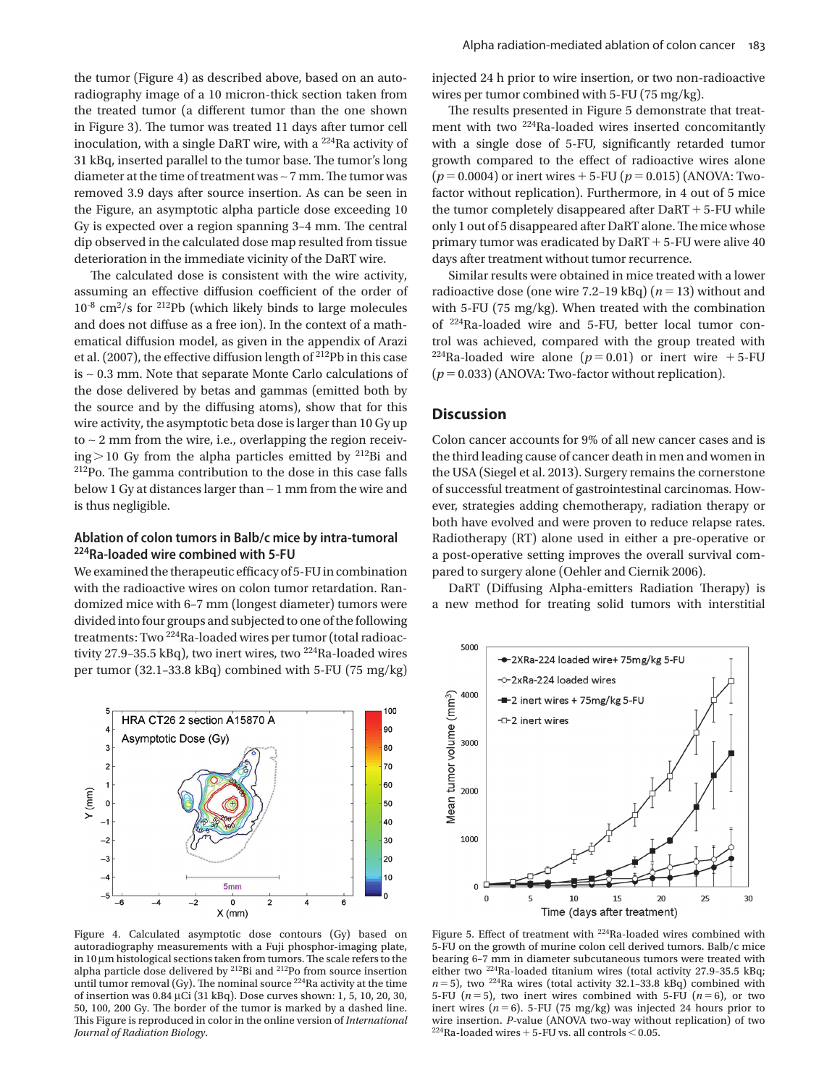the tumor (Figure 4) as described above, based on an autoradiography image of a 10 micron-thick section taken from the treated tumor (a different tumor than the one shown in Figure 3). The tumor was treated 11 days after tumor cell inoculation, with a single DaRT wire, with a 224 Ra activity of 31 kBq, inserted parallel to the tumor base. The tumor's long diameter at the time of treatment was ∼7 mm. The tumor was removed 3.9 days after source insertion. As can be seen in the Figure, an asymptotic alpha particle dose exceeding 10 Gy is expected over a region spanning 3-4 mm. The central dip observed in the calculated dose map resulted from tissue deterioration in the immediate vicinity of the DaRT wire.

The calculated dose is consistent with the wire activity, assuming an effective diffusion coefficient of the order of  $10^{-8}$  cm<sup>2</sup>/s for <sup>212</sup>Pb (which likely binds to large molecules and does not diffuse as a free ion). In the context of a mathematical diffusion model, as given in the appendix of Arazi et al. (2007), the effective diffusion length of  $^{212}Pb$  in this case is ∼ 0.3 mm. Note that separate Monte Carlo calculations of the dose delivered by betas and gammas (emitted both by the source and by the diffusing atoms), show that for this wire activity, the asymptotic beta dose is larger than 10 Gy up to ∼ 2 mm from the wire, i.e., overlapping the region receiving  $>$  10 Gy from the alpha particles emitted by <sup>212</sup>Bi and <sup>212</sup>Po. The gamma contribution to the dose in this case falls below 1 Gy at distances larger than ∼ 1 mm from the wire and is thus negligible.

## **Ablation of colon tumors in Balb/c mice by intra-tumoral 224 Ra-loaded wire combined with 5-FU**

We examined the therapeutic efficacy of 5-FU in combination with the radioactive wires on colon tumor retardation. Randomized mice with 6-7 mm (longest diameter) tumors were divided into four groups and subjected to one of the following treatments: Two <sup>224</sup>Ra-loaded wires per tumor (total radioactivity 27.9-35.5 kBq), two inert wires, two <sup>224</sup>Ra-loaded wires per tumor (32.1-33.8 kBq) combined with 5-FU (75 mg/kg)



 Figure 4. Calculated asymptotic dose contours (Gy) based on autoradiography measurements with a Fuji phosphor-imaging plate, in  $10 \mu m$  histological sections taken from tumors. The scale refers to the alpha particle dose delivered by <sup>212</sup>Bi and <sup>212</sup>Po from source insertion until tumor removal (Gy). The nominal source  $224$  Ra activity at the time of insertion was 0.84 μ Ci (31 kBq). Dose curves shown: 1, 5, 10, 20, 30, 50, 100, 200 Gy. The border of the tumor is marked by a dashed line. This Figure is reproduced in color in the online version of *International Journal of Radiation Biology* .

injected 24 h prior to wire insertion, or two non-radioactive wires per tumor combined with 5-FU (75 mg/kg).

The results presented in Figure 5 demonstrate that treatment with two <sup>224</sup>Ra-loaded wires inserted concomitantly with a single dose of 5-FU, significantly retarded tumor growth compared to the effect of radioactive wires alone  $(p = 0.0004)$  or inert wires  $+ 5$ -FU  $(p = 0.015)$  (ANOVA: Twofactor without replication). Furthermore, in 4 out of 5 mice the tumor completely disappeared after DaRT + 5-FU while only 1 out of 5 disappeared after DaRT alone. The mice whose primary tumor was eradicated by DaRT + 5-FU were alive 40 days after treatment without tumor recurrence.

 Similar results were obtained in mice treated with a lower radioactive dose (one wire 7.2-19 kBq)  $(n = 13)$  without and with 5-FU (75 mg/kg). When treated with the combination of 224 Ra-loaded wire and 5-FU, better local tumor control was achieved, compared with the group treated with <sup>224</sup>Ra-loaded wire alone  $(p=0.01)$  or inert wire +5-FU  $(p = 0.033)$  (ANOVA: Two-factor without replication).

# **Discussion**

 Colon cancer accounts for 9% of all new cancer cases and is the third leading cause of cancer death in men and women in the USA (Siegel et al. 2013). Surgery remains the cornerstone of successful treatment of gastrointestinal carcinomas. However, strategies adding chemotherapy, radiation therapy or both have evolved and were proven to reduce relapse rates. Radiotherapy (RT) alone used in either a pre-operative or a post-operative setting improves the overall survival compared to surgery alone (Oehler and Ciernik 2006).

DaRT (Diffusing Alpha-emitters Radiation Therapy) is a new method for treating solid tumors with interstitial



Figure 5. Effect of treatment with <sup>224</sup>Ra-loaded wires combined with 5-FU on the growth of murine colon cell derived tumors. Balb/c mice bearing 6-7 mm in diameter subcutaneous tumors were treated with either two <sup>224</sup>Ra-loaded titanium wires (total activity 27.9-35.5 kBq;  $n = 5$ ), two <sup>224</sup>Ra wires (total activity 32.1-33.8 kBq) combined with 5-FU ( $n = 5$ ), two inert wires combined with 5-FU ( $n = 6$ ), or two inert wires  $(n = 6)$ . 5-FU (75 mg/kg) was injected 24 hours prior to wire insertion. *P*-value (ANOVA two-way without replication) of two  $^{224}$ Ra-loaded wires + 5-FU vs. all controls  $<$  0.05.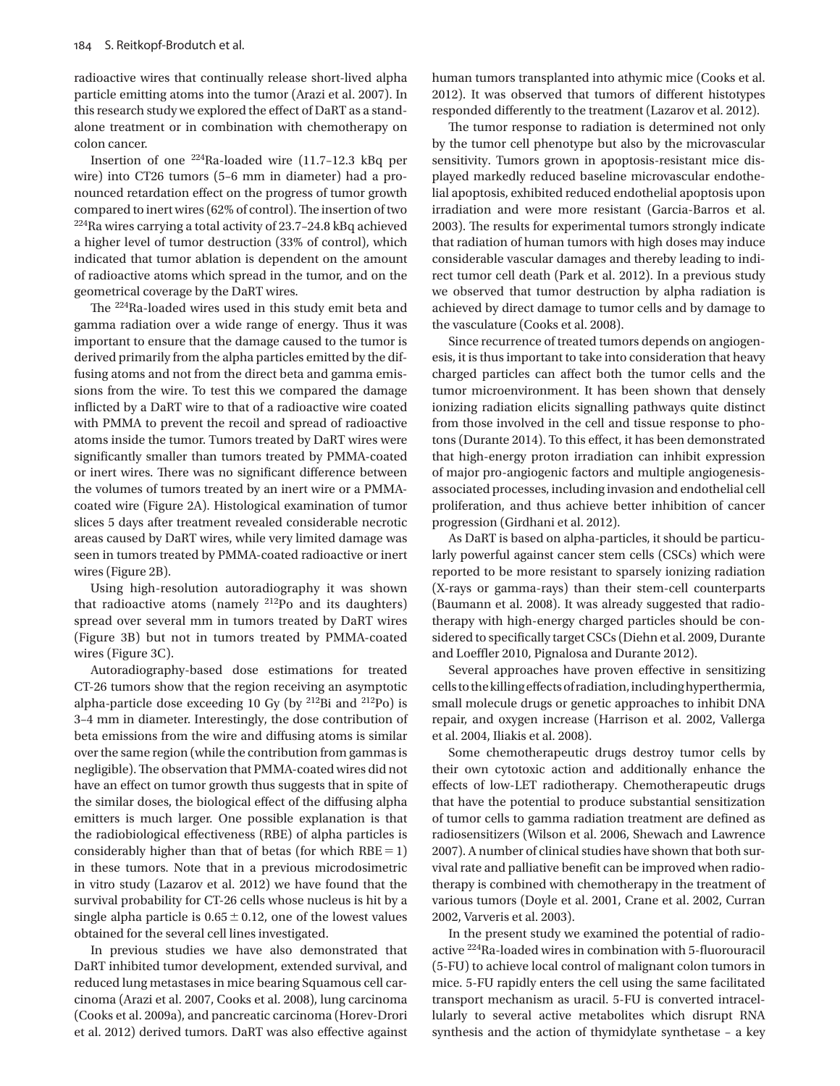radioactive wires that continually release short-lived alpha particle emitting atoms into the tumor (Arazi et al. 2007). In this research study we explored the effect of DaRT as a standalone treatment or in combination with chemotherapy on colon cancer.

 Insertion of one 224 Ra-loaded wire (11.7 – 12.3 kBq per wire) into CT26 tumors (5–6 mm in diameter) had a pronounced retardation effect on the progress of tumor growth compared to inert wires (62% of control). The insertion of two  $^{224}$ Ra wires carrying a total activity of 23.7-24.8 kBq achieved a higher level of tumor destruction (33% of control), which indicated that tumor ablation is dependent on the amount of radioactive atoms which spread in the tumor, and on the geometrical coverage by the DaRT wires.

The <sup>224</sup>Ra-loaded wires used in this study emit beta and gamma radiation over a wide range of energy. Thus it was important to ensure that the damage caused to the tumor is derived primarily from the alpha particles emitted by the diffusing atoms and not from the direct beta and gamma emissions from the wire. To test this we compared the damage inflicted by a DaRT wire to that of a radioactive wire coated with PMMA to prevent the recoil and spread of radioactive atoms inside the tumor. Tumors treated by DaRT wires were significantly smaller than tumors treated by PMMA-coated or inert wires. There was no significant difference between the volumes of tumors treated by an inert wire or a PMMAcoated wire (Figure 2A). Histological examination of tumor slices 5 days after treatment revealed considerable necrotic areas caused by DaRT wires, while very limited damage was seen in tumors treated by PMMA-coated radioactive or inert wires (Figure 2B).

 Using high-resolution autoradiography it was shown that radioactive atoms (namely  $212$ Po and its daughters) spread over several mm in tumors treated by DaRT wires (Figure 3B) but not in tumors treated by PMMA-coated wires (Figure 3C).

 Autoradiography-based dose estimations for treated CT-26 tumors show that the region receiving an asymptotic alpha-particle dose exceeding 10 Gy (by  $^{212}$ Bi and  $^{212}$ Po) is 3-4 mm in diameter. Interestingly, the dose contribution of beta emissions from the wire and diffusing atoms is similar over the same region (while the contribution from gammas is negligible). The observation that PMMA-coated wires did not have an effect on tumor growth thus suggests that in spite of the similar doses, the biological effect of the diffusing alpha emitters is much larger. One possible explanation is that the radiobiological effectiveness (RBE) of alpha particles is considerably higher than that of betas (for which  $RBE = 1$ ) in these tumors. Note that in a previous microdosimetric in vitro study (Lazarov et al. 2012) we have found that the survival probability for CT-26 cells whose nucleus is hit by a single alpha particle is  $0.65 \pm 0.12$ , one of the lowest values obtained for the several cell lines investigated.

 In previous studies we have also demonstrated that DaRT inhibited tumor development, extended survival, and reduced lung metastases in mice bearing Squamous cell carcinoma (Arazi et al. 2007, Cooks et al. 2008), lung carcinoma (Cooks et al. 2009a), and pancreatic carcinoma (Horev-Drori et al. 2012) derived tumors. DaRT was also effective against human tumors transplanted into athymic mice (Cooks et al. 2012). It was observed that tumors of different histotypes responded differently to the treatment (Lazarov et al. 2012).

The tumor response to radiation is determined not only by the tumor cell phenotype but also by the microvascular sensitivity. Tumors grown in apoptosis-resistant mice displayed markedly reduced baseline microvascular endothelial apoptosis, exhibited reduced endothelial apoptosis upon irradiation and were more resistant (Garcia-Barros et al. 2003). The results for experimental tumors strongly indicate that radiation of human tumors with high doses may induce considerable vascular damages and thereby leading to indirect tumor cell death (Park et al. 2012). In a previous study we observed that tumor destruction by alpha radiation is achieved by direct damage to tumor cells and by damage to the vasculature (Cooks et al. 2008).

 Since recurrence of treated tumors depends on angiogenesis, it is thus important to take into consideration that heavy charged particles can affect both the tumor cells and the tumor microenvironment. It has been shown that densely ionizing radiation elicits signalling pathways quite distinct from those involved in the cell and tissue response to photons (Durante 2014). To this effect, it has been demonstrated that high-energy proton irradiation can inhibit expression of major pro-angiogenic factors and multiple angiogenesisassociated processes, including invasion and endothelial cell proliferation, and thus achieve better inhibition of cancer progression (Girdhani et al. 2012).

 As DaRT is based on alpha-particles, it should be particularly powerful against cancer stem cells (CSCs) which were reported to be more resistant to sparsely ionizing radiation (X-rays or gamma-rays) than their stem-cell counterparts (Baumann et al. 2008). It was already suggested that radiotherapy with high-energy charged particles should be considered to specifically target CSCs (Diehn et al. 2009, Durante and Loeffler 2010, Pignalosa and Durante 2012).

Several approaches have proven effective in sensitizing cells to the killing effects of radiation, including hyperthermia, small molecule drugs or genetic approaches to inhibit DNA repair, and oxygen increase (Harrison et al. 2002, Vallerga et al. 2004, Iliakis et al. 2008).

 Some chemotherapeutic drugs destroy tumor cells by their own cytotoxic action and additionally enhance the effects of low-LET radiotherapy. Chemotherapeutic drugs that have the potential to produce substantial sensitization of tumor cells to gamma radiation treatment are defined as radiosensitizers (Wilson et al. 2006, Shewach and Lawrence 2007). A number of clinical studies have shown that both survival rate and palliative benefit can be improved when radiotherapy is combined with chemotherapy in the treatment of various tumors (Doyle et al. 2001, Crane et al. 2002, Curran 2002, Varveris et al. 2003).

 In the present study we examined the potential of radioactive <sup>224</sup>Ra-loaded wires in combination with 5-fluorouracil (5-FU) to achieve local control of malignant colon tumors in mice. 5-FU rapidly enters the cell using the same facilitated transport mechanism as uracil. 5-FU is converted intracellularly to several active metabolites which disrupt RNA synthesis and the action of thymidylate synthetase – a key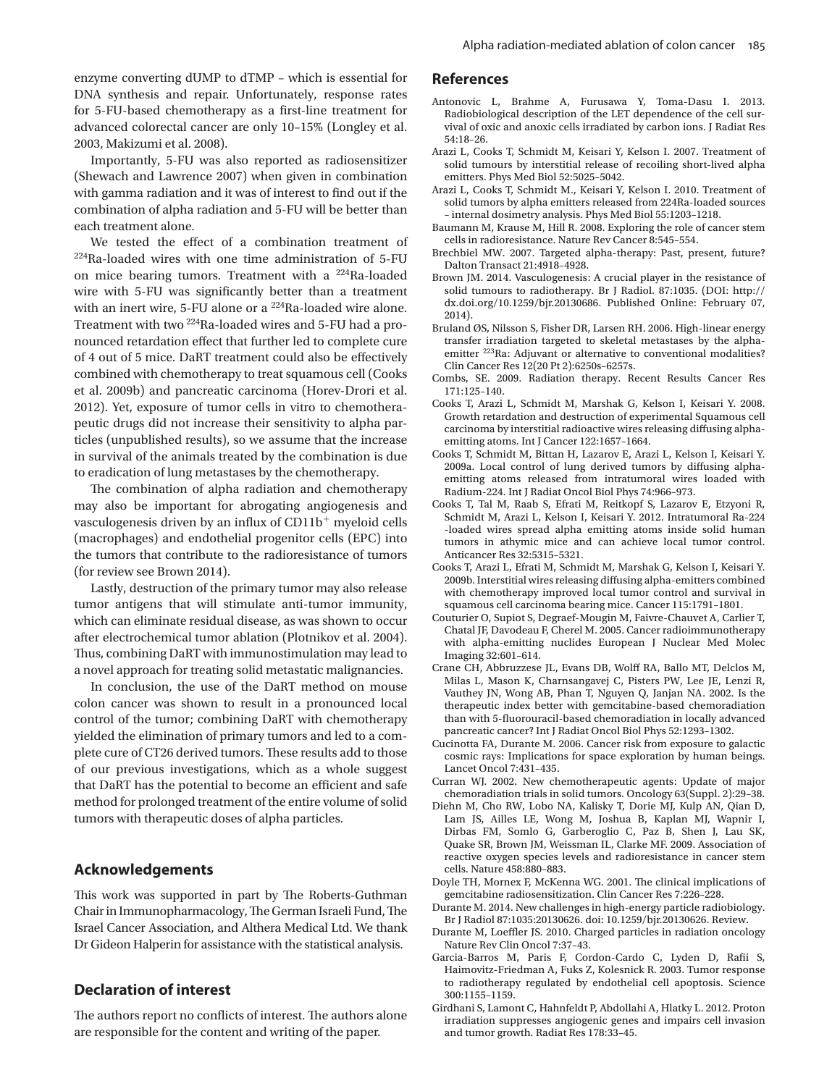enzyme converting dUMP to dTMP – which is essential for DNA synthesis and repair. Unfortunately, response rates for 5-FU-based chemotherapy as a first-line treatment for advanced colorectal cancer are only 10-15% (Longley et al. 2003, Makizumi et al. 2008).

 Importantly, 5-FU was also reported as radiosensitizer (Shewach and Lawrence 2007) when given in combination with gamma radiation and it was of interest to find out if the combination of alpha radiation and 5-FU will be better than each treatment alone.

We tested the effect of a combination treatment of  $224$ Ra-loaded wires with one time administration of 5-FU on mice bearing tumors. Treatment with a <sup>224</sup>Ra-loaded wire with 5-FU was significantly better than a treatment with an inert wire, 5-FU alone or a <sup>224</sup>Ra-loaded wire alone. Treatment with two <sup>224</sup>Ra-loaded wires and 5-FU had a pronounced retardation effect that further led to complete cure of 4 out of 5 mice. DaRT treatment could also be effectively combined with chemotherapy to treat squamous cell (Cooks et al. 2009b) and pancreatic carcinoma (Horev-Drori et al. 2012). Yet, exposure of tumor cells in vitro to chemotherapeutic drugs did not increase their sensitivity to alpha particles (unpublished results), so we assume that the increase in survival of the animals treated by the combination is due to eradication of lung metastases by the chemotherapy.

The combination of alpha radiation and chemotherapy may also be important for abrogating angiogenesis and vasculogenesis driven by an influx of  $CD11b<sup>+</sup>$  myeloid cells (macrophages) and endothelial progenitor cells (EPC) into the tumors that contribute to the radioresistance of tumors (for review see Brown 2014).

 Lastly, destruction of the primary tumor may also release tumor antigens that will stimulate anti-tumor immunity, which can eliminate residual disease, as was shown to occur after electrochemical tumor ablation (Plotnikov et al. 2004). Thus, combining DaRT with immunostimulation may lead to a novel approach for treating solid metastatic malignancies.

 In conclusion, the use of the DaRT method on mouse colon cancer was shown to result in a pronounced local control of the tumor; combining DaRT with chemotherapy yielded the elimination of primary tumors and led to a complete cure of CT26 derived tumors. These results add to those of our previous investigations, which as a whole suggest that DaRT has the potential to become an efficient and safe method for prolonged treatment of the entire volume of solid tumors with therapeutic doses of alpha particles.

## **Acknowledgements**

This work was supported in part by The Roberts-Guthman Chair in Immunopharmacology, The German Israeli Fund, The Israel Cancer Association, and Althera Medical Ltd. We thank Dr Gideon Halperin for assistance with the statistical analysis.

## **Declaration of interest**

The authors report no conflicts of interest. The authors alone are responsible for the content and writing of the paper.

#### **References**

- Antonovic L, Brahme A, Furusawa Y, Toma-Dasu I. 2013. Radiobiological description of the LET dependence of the cell survival of oxic and anoxic cells irradiated by carbon ions . J Radiat Res 54:18-26.
- Arazi L, Cooks T, Schmidt M, Keisari Y, Kelson I. 2007. Treatment of solid tumours by interstitial release of recoiling short-lived alpha emitters. Phys Med Biol 52:5025-5042.
- Arazi L, Cooks T, Schmidt M., Keisari Y, Kelson I. 2010. Treatment of solid tumors by alpha emitters released from 224Ra-loaded sources – internal dosimetry analysis . Phys Med Biol 55 : 1203 – 1218 .
- Baumann M, Krause M, Hill R. 2008. Exploring the role of cancer stem cells in radioresistance. Nature Rev Cancer 8:545-554.
- Brechbiel MW. 2007. Targeted alpha-therapy: Past, present, future? Dalton Transact 21:4918-4928.
- Brown JM. 2014. Vasculogenesis: A crucial player in the resistance of solid tumours to radiotherapy. Br J Radiol. 87:1035. (DOI: http:// dx.doi.org/10.1259/bjr.20130686. Published Online: February 07, 2014).
- Bruland ØS, Nilsson S, Fisher DR, Larsen RH. 2006. High-linear energy transfer irradiation targeted to skeletal metastases by the alphaemitter <sup>223</sup> Ra: Adjuvant or alternative to conventional modalities? Clin Cancer Res 12(20 Pt 2) : 6250s – 6257s .
- Combs, SE. 2009. Radiation therapy. Recent Results Cancer Res 171:125-140.
- Cooks T, Arazi L, Schmidt M, Marshak G, Kelson I, Keisari Y. 2008. Growth retardation and destruction of experimental Squamous cell carcinoma by interstitial radioactive wires releasing diffusing alphaemitting atoms. Int J Cancer 122:1657-1664.
- Cooks T, Schmidt M, Bittan H, Lazarov E, Arazi L, Kelson I, Keisari Y. 2009a. Local control of lung derived tumors by diffusing alphaemitting atoms released from intratumoral wires loaded with Radium-224. Int J Radiat Oncol Biol Phys 74:966-973.
- Cooks T, Tal M, Raab S, Efrati M, Reitkopf S, Lazarov E, Etzyoni R, Schmidt M, Arazi L, Kelson I, Keisari Y. 2012. Intratumoral Ra-224 -loaded wires spread alpha emitting atoms inside solid human tumors in athymic mice and can achieve local tumor control. Anticancer Res 32:5315-5321.
- Cooks T, Arazi L, Efrati M, Schmidt M, Marshak G, Kelson I, Keisari Y. 2009b. Interstitial wires releasing diffusing alpha-emitters combined with chemotherapy improved local tumor control and survival in squamous cell carcinoma bearing mice. Cancer 115:1791-1801.
- Couturier O, Supiot S, Degraef-Mougin M, Faivre-Chauvet A, Carlier T, Chatal JF, Davodeau F, Cherel M. 2005. Cancer radioimmunotherapy with alpha-emitting nuclides European J Nuclear Med Molec Imaging 32:601-614.
- Crane CH, Abbruzzese JL, Evans DB, Wolff RA, Ballo MT, Delclos M, Milas L, Mason K, Charnsangavej C, Pisters PW, Lee JE, Lenzi R, Vauthey JN, Wong AB, Phan T, Nguyen Q, Janjan NA. 2002. Is the therapeutic index better with gemcitabine-based chemoradiation than with 5-fluorouracil-based chemoradiation in locally advanced pancreatic cancer? Int J Radiat Oncol Biol Phys 52:1293-1302.
- Cucinotta FA, Durante M. 2006. Cancer risk from exposure to galactic cosmic rays: Implications for space exploration by human beings. Lancet Oncol 7:431-435.
- Curran WJ. 2002. New chemotherapeutic agents: Update of major chemoradiation trials in solid tumors. Oncology 63(Suppl. 2):29-38.
- Diehn M, Cho RW, Lobo NA, Kalisky T, Dorie MJ, Kulp AN, Qian D, Lam JS, Ailles LE, Wong M, Joshua B, Kaplan MJ, Wapnir I, Dirbas FM, Somlo G, Garberoglio C, Paz B, Shen J, Lau SK, Quake SR, Brown JM, Weissman IL, Clarke MF. 2009. Association of reactive oxygen species levels and radioresistance in cancer stem cells. Nature 458:880-883.
- Doyle TH, Mornex F, McKenna WG. 2001. The clinical implications of gemcitabine radiosensitization. Clin Cancer Res 7:226-228.
- Durante M. 2014. New challenges in high-energy particle radiobiology. Br J Radiol 87:1035:20130626. doi: 10.1259/bjr.20130626. Review.
- Durante M, Loeffler JS. 2010. Charged particles in radiation oncology Nature Rev Clin Oncol 7:37-43.
- Garcia-Barros M, Paris F, Cordon-Cardo C, Lyden D, Rafii S, Haimovitz-Friedman A, Fuks Z, Kolesnick R. 2003. Tumor response to radiotherapy regulated by endothelial cell apoptosis . Science 300 : 1155 – 1159 .
- Girdhani S, Lamont C, Hahnfeldt P, Abdollahi A, Hlatky L. 2012. Proton irradiation suppresses angiogenic genes and impairs cell invasion and tumor growth. Radiat Res 178:33-45.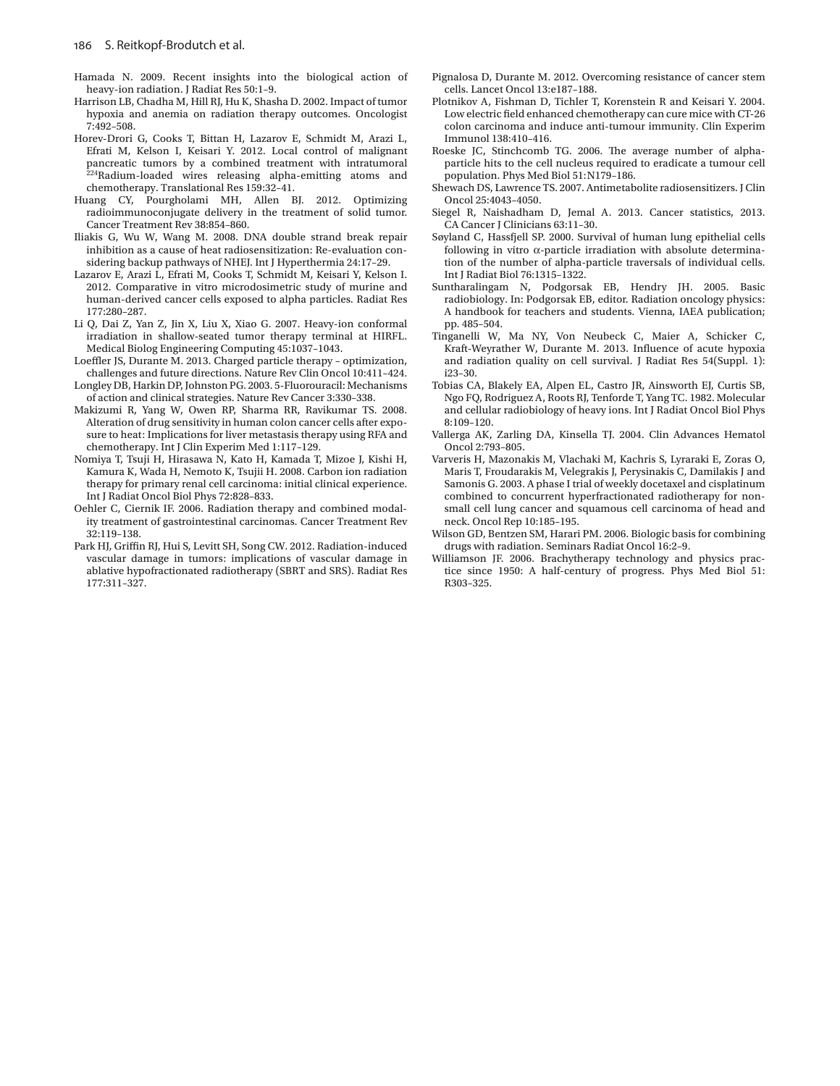- Hamada N. 2009. Recent insights into the biological action of heavy-ion radiation. J Radiat Res 50:1-9.
- Harrison LB, Chadha M, Hill RJ, Hu K, Shasha D. 2002. Impact of tumor hypoxia and anemia on radiation therapy outcomes. Oncologist 7 : 492 – 508 .
- Horev-Drori G, Cooks T, Bittan H, Lazarov E, Schmidt M, Arazi L, Efrati M, Kelson I, Keisari Y. 2012. Local control of malignant pancreatic tumors by a combined treatment with intratumoral  $224$  Radium-loaded wires releasing alpha-emitting atoms and chemotherapy. Translational Res 159:32-41.
- Huang CY, Pourgholami MH, Allen BJ. 2012. Optimizing radioimmunoconjugate delivery in the treatment of solid tumor. Cancer Treatment Rev 38:854-860.
- Iliakis G, Wu W, Wang M. 2008. DNA double strand break repair inhibition as a cause of heat radiosensitization: Re-evaluation considering backup pathways of NHEJ. Int J Hyperthermia 24:17-29.
- Lazarov E, Arazi L, Efrati M, Cooks T, Schmidt M, Keisari Y, Kelson I. 2012 . Comparative in vitro microdosimetric study of murine and human-derived cancer cells exposed to alpha particles . Radiat Res 177:280-287.
- Li Q, Dai Z, Yan Z, Jin X, Liu X, Xiao G. 2007. Heavy-ion conformal irradiation in shallow-seated tumor therapy terminal at HIRFL. Medical Biolog Engineering Computing 45:1037-1043.
- Loeffler JS, Durante M. 2013. Charged particle therapy optimization, challenges and future directions. Nature Rev Clin Oncol 10:411-424.
- Longley DB , Harkin DP , Johnston PG . 2003 . 5-Fluorouracil: Mechanisms of action and clinical strategies. Nature Rev Cancer 3:330-338.
- Makizumi R, Yang W, Owen RP, Sharma RR, Ravikumar TS. 2008. Alteration of drug sensitivity in human colon cancer cells after exposure to heat: Implications for liver metastasis therapy using RFA and chemotherapy. Int J Clin Experim Med 1:117-129.
- Nomiya T, Tsuji H, Hirasawa N, Kato H, Kamada T, Mizoe J, Kishi H, Kamura K, Wada H, Nemoto K, Tsujii H. 2008. Carbon ion radiation therapy for primary renal cell carcinoma: initial clinical experience . Int J Radiat Oncol Biol Phys 72:828-833.
- Oehler C, Ciernik IF. 2006. Radiation therapy and combined modality treatment of gastrointestinal carcinomas . Cancer Treatment Rev  $32 \cdot 119 - 138$
- Park HJ, Griffin RJ, Hui S, Levitt SH, Song CW. 2012. Radiation-induced vascular damage in tumors: implications of vascular damage in ablative hypofractionated radiotherapy (SBRT and SRS) . Radiat Res 177:311-327.
- Pignalosa D, Durante M. 2012. Overcoming resistance of cancer stem cells. Lancet Oncol 13:e187-188.
- Plotnikov A, Fishman D, Tichler T, Korenstein R and Keisari Y. 2004. Low electric field enhanced chemotherapy can cure mice with CT-26 colon carcinoma and induce anti-tumour immunity. Clin Experim Immunol 138:410-416.
- Roeske JC, Stinchcomb TG. 2006. The average number of alphaparticle hits to the cell nucleus required to eradicate a tumour cell population. Phys Med Biol 51:N179-186.
- Shewach DS, Lawrence TS. 2007. Antimetabolite radiosensitizers. J Clin Oncol 25:4043-4050.
- Siegel R, Naishadham D, Jemal A. 2013. Cancer statistics, 2013. CA Cancer J Clinicians 63:11-30.
- Søyland C, Hassfjell SP. 2000. Survival of human lung epithelial cells following in vitro  $\alpha$ -particle irradiation with absolute determination of the number of alpha-particle traversals of individual cells. Int J Radiat Biol 76:1315-1322.
- Suntharalingam N, Podgorsak EB, Hendry JH. 2005. Basic radiobiology. In: Podgorsak EB, editor. Radiation oncology physics: A handbook for teachers and students. Vienna, IAEA publication; pp. 485-504.
- Tinganelli W, Ma NY, Von Neubeck C, Maier A, Schicker C, Kraft-Weyrather W, Durante M. 2013. Influence of acute hypoxia and radiation quality on cell survival. J Radiat Res 54(Suppl. 1):  $i23 - 30.$
- Tobias CA, Blakely EA, Alpen EL, Castro JR, Ainsworth EJ, Curtis SB, Ngo FQ, Rodriguez A, Roots RJ, Tenforde T, Yang TC. 1982. Molecular and cellular radiobiology of heavy ions . Int J Radiat Oncol Biol Phys 8:109-120.
- Vallerga AK, Zarling DA, Kinsella TJ. 2004. Clin Advances Hematol Oncol 2:793-805.
- Varveris H, Mazonakis M, Vlachaki M, Kachris S, Lyraraki E, Zoras O, Maris T, Froudarakis M, Velegrakis J, Perysinakis C, Damilakis J and Samonis G. 2003. A phase I trial of weekly docetaxel and cisplatinum combined to concurrent hyperfractionated radiotherapy for nonsmall cell lung cancer and squamous cell carcinoma of head and neck. Oncol Rep 10:185-195.
- Wilson GD, Bentzen SM, Harari PM. 2006. Biologic basis for combining drugs with radiation. Seminars Radiat Oncol 16:2-9.
- Williamson JF. 2006. Brachytherapy technology and physics practice since 1950: A half-century of progress. Phys Med Biol 51: R303-325.